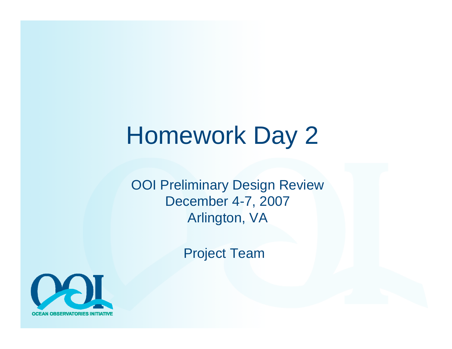# Homework Day 2

OOI Preliminary Design Review December 4-7, 2007 Arlington, VA

Project Team

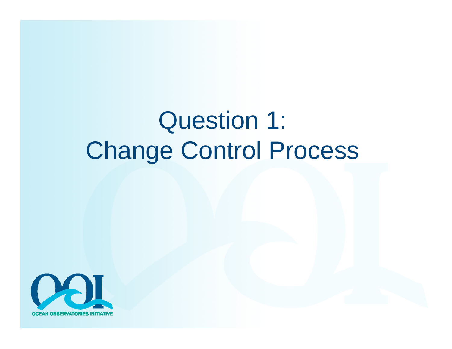# Question 1: Change Control Process

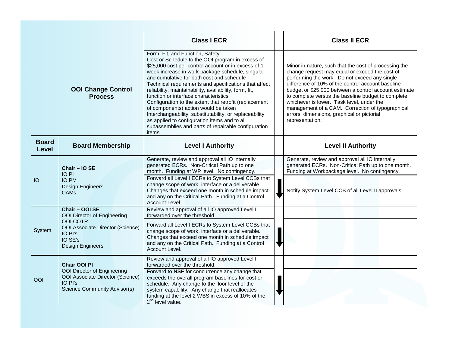|                       |                                                                                                                                                       | <b>Class I ECR</b>                                                                                                                                                                                                                                                                                                                                                                                                                                                                                                                                                                                                                                                                   | <b>Class II ECR</b>                                                                                                                                                                                                                                                                                                                                                                                                                                                                             |
|-----------------------|-------------------------------------------------------------------------------------------------------------------------------------------------------|--------------------------------------------------------------------------------------------------------------------------------------------------------------------------------------------------------------------------------------------------------------------------------------------------------------------------------------------------------------------------------------------------------------------------------------------------------------------------------------------------------------------------------------------------------------------------------------------------------------------------------------------------------------------------------------|-------------------------------------------------------------------------------------------------------------------------------------------------------------------------------------------------------------------------------------------------------------------------------------------------------------------------------------------------------------------------------------------------------------------------------------------------------------------------------------------------|
|                       | <b>OOI Change Control</b><br><b>Process</b>                                                                                                           | Form, Fit, and Function, Safety<br>Cost or Schedule to the OOI program in excess of<br>\$25,000 cost per control account or in excess of 1<br>week increase in work package schedule, singular<br>and cumulative for both cost and schedule<br>Technical requirements and specifications that affect<br>reliability, maintainability, availability, form, fit,<br>function or interface characteristics<br>Configuration to the extent that retrofit (replacement<br>of components) action would be taken<br>Interchangeability, substitutability, or replaceability<br>as applied to configuration items and to all<br>subassemblies and parts of repairable configuration<br>items | Minor in nature, such that the cost of processing the<br>change request may equal or exceed the cost of<br>performing the work. Do not exceed any single<br>difference of 10% of the control account baseline<br>budget or \$25,000 between a control account estimate<br>to complete versus the baseline budget to complete,<br>whichever is lower. Task level, under the<br>management of a CAM. Correction of typographical<br>errors, dimensions, graphical or pictorial<br>representation. |
| <b>Board</b><br>Level | <b>Board Membership</b>                                                                                                                               | <b>Level I Authority</b>                                                                                                                                                                                                                                                                                                                                                                                                                                                                                                                                                                                                                                                             | <b>Level II Authority</b>                                                                                                                                                                                                                                                                                                                                                                                                                                                                       |
| IO                    | Chair - IO SE<br>IO PI<br><b>IO PM</b><br><b>Design Engineers</b><br><b>CAMs</b>                                                                      | Generate, review and approval all IO internally<br>generated ECRs. Non-Critical Path up to one<br>month. Funding at WP level. No contingency.<br>Forward all Level I ECRs to System Level CCBs that<br>change scope of work, interface or a deliverable.<br>Changes that exceed one month in schedule impact<br>and any on the Critical Path. Funding at a Control<br>Account Level.                                                                                                                                                                                                                                                                                                 | Generate, review and approval all IO internally<br>generated ECRs. Non-Critical Path up to one month.<br>Funding at Workpackage level. No contingency.<br>Notify System Level CCB of all Level II approvals                                                                                                                                                                                                                                                                                     |
| System                | Chair - OOI SE<br>OOI Director of Engineering<br><b>OOI COTR</b><br>OOI Associate Director (Science)<br>IO PI's<br>IO SE's<br><b>Design Engineers</b> | Review and approval of all IO approved Level I<br>forwarded over the threshold.<br>Forward all Level I ECRs to System Level CCBs that<br>change scope of work, interface or a deliverable.<br>Changes that exceed one month in schedule impact<br>and any on the Critical Path. Funding at a Control<br>Account Level.                                                                                                                                                                                                                                                                                                                                                               |                                                                                                                                                                                                                                                                                                                                                                                                                                                                                                 |
| OOI                   | <b>Chair OOI PI</b><br>OOI Director of Engineering<br>OOI Associate Director (Science)<br>IO PI's<br>Science Community Advisor(s)                     | Review and approval of all IO approved Level I<br>forwarded over the threshold.<br>Forward to NSF for concurrence any change that<br>exceeds the overall program baselines for cost or<br>schedule. Any change to the floor level of the<br>system capability. Any change that reallocates<br>funding at the level 2 WBS in excess of 10% of the<br>$2nd$ level value.                                                                                                                                                                                                                                                                                                               |                                                                                                                                                                                                                                                                                                                                                                                                                                                                                                 |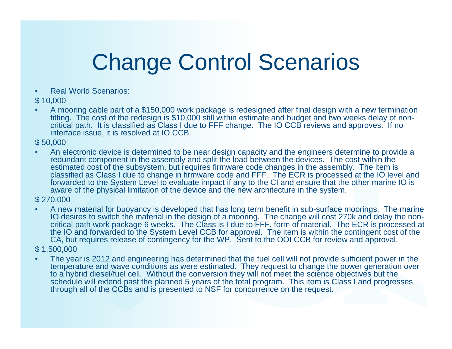# Change Control Scenarios

•Real World Scenarios:

#### \$ 10,000

• A mooring cable part of a \$150,000 work package is redesigned after final design with a new termination fitting. The cost of the redesign is \$10,000 still within estimate and budget and two weeks delay of noncritical path. It is classified as Class I due to FFF change. The IO CCB reviews and approves. If no interface issue, it is resolved at IO CCB.

#### \$ 50,000

• An electronic device is determined to be near design capacity and the engineers determine to provide a redundant component in the assembly and split the load between the devices. The cost within the estimated cost of the subsystem, but requires firmware code changes in the assembly. The item is classified as Class I due to change in firmware code and FFF. The ECR is processed at the IO level and forwarded to the System Level to evaluate impact if any to the CI and ensure that the other marine IO is aware of the physical limitation of the device and the new architecture in the system.

#### \$ 270,000

• A new material for buoyancy is developed that has long term benefit in sub-surface moorings. The marine IO desires to switch the material in the design of a mooring. The change will cost 270k and delay the non-<br>critical path work package 6 weeks. The Class is I due to FFF, form of material. The ECR is processed at the IO and forwarded to the System Level CCB for approval. The item is within the contingent cost of the CA, but requires release of contingency for the WP. Sent to the OOI CCB for review and approval.

#### \$ 1,500,000

• The year is 2012 and engineering has determined that the fuel cell will not provide sufficient power in the temperature and wave conditions as were estimated. They request to change the power generation over to a hybrid diesel/fuel cell. Without the conversion they will not meet the science objectives but the schedule will extend past the planned 5 years of the total program. This item is Class I and progresses through all of the CCBs and is presented to NSF for concurrence on the request.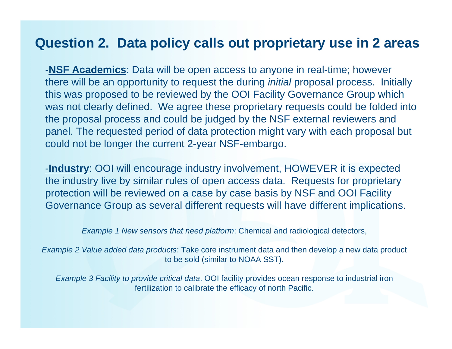#### **Question 2. Data policy calls out proprietary use in 2 areas**

-**NSF Academics**: Data will be open access to anyone in real-time; however there will be an opportunity to request the during *initial* proposal process. Initially this was proposed to be reviewed by the OOI Facility Governance Group which was not clearly defined. We agree these proprietary requests could be folded into the proposal process and could be judged by the NSF external reviewers and panel. The requested period of data protection might vary with each proposal but could not be longer the current 2-year NSF-embargo.

-**Industry**: OOI will encourage industry involvement, HOWEVER it is expected the industry live by similar rules of open access data. Requests for proprietary protection will be reviewed on a case by case basis by NSF and OOI Facility Governance Group as several different requests will have different implications.

*Example 1 New sensors that need platform*: Chemical and radiological detectors,

*Example 2 Value added data products*: Take core instrument data and then develop a new data product to be sold (similar to NOAA SST).

*Example 3 Facility to provide critical data*. OOI facility provides ocean response to industrial iron fertilization to calibrate the efficacy of north Pacific.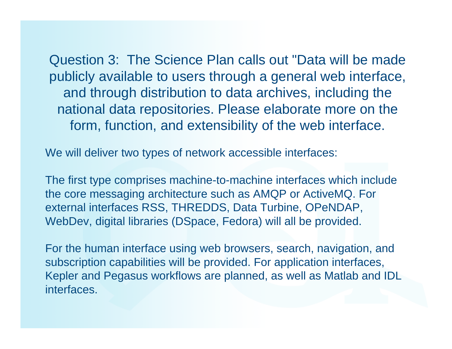Question 3: The Science Plan calls out "Data will be made publicly available to users through a general web interface, and through distribution to data archives, including the national data repositories. Please elaborate more on the form, function, and extensibility of the web interface.

We will deliver two types of network accessible interfaces:

The first type comprises machine-to-machine interfaces which include the core messaging architecture such as AMQP or ActiveMQ. For external interfaces RSS, THREDDS, Data Turbine, OPeNDAP, WebDev, digital libraries (DSpace, Fedora) will all be provided.

For the human interface using web browsers, search, navigation, and subscription capabilities will be provided. For application interfaces, Kepler and Pegasus workflows are planned, as well as Matlab and IDL interfaces.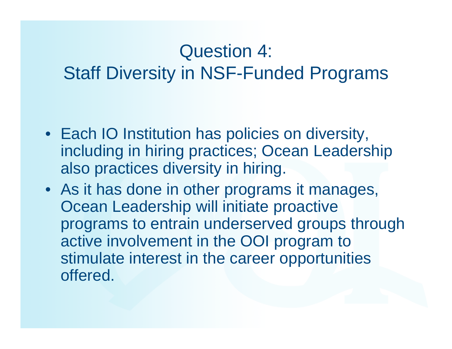## Question 4: Staff Diversity in NSF-Funded Programs

- Each IO Institution has policies on diversity, including in hiring practices; Ocean Leadership also practices diversity in hiring.
- As it has done in other programs it manages, Ocean Leadership will initiate proactive programs to entrain underserved groups through active involvement in the OOI program to stimulate interest in the career opportunities offered.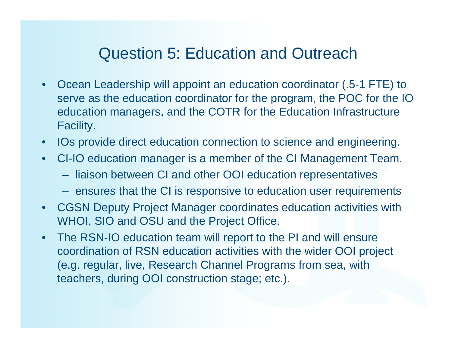### Question 5: Education and Outreach

- • Ocean Leadership will appoint an education coordinator (.5-1 FTE) to serve as the education coordinator for the program, the POC for the IO education managers, and the COTR for the Education Infrastructure Facility.
- IOs provide direct education connection to science and engineering.
- • CI-IO education manager is a member of the CI Management Team.
	- liaison between CI and other OOI education representatives
	- ensures that the CI is responsive to education user requirements
- • CGSN Deputy Project Manager coordinates education activities with WHOI, SIO and OSU and the Project Office.
- • The RSN-IO education team will report to the PI and will ensure coordination of RSN education activities with the wider OOI project (e.g. regular, live, Research Channel Programs from sea, with teachers, during OOI construction stage; etc.).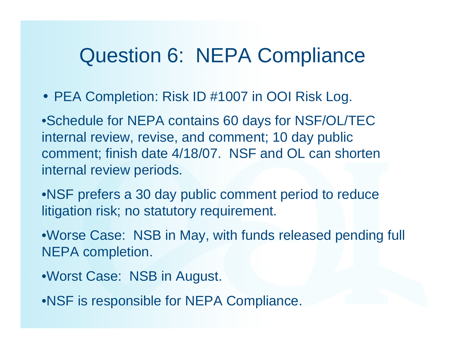## Question 6: NEPA Compliance

• PEA Completion: Risk ID #1007 in OOI Risk Log.

•Schedule for NEPA contains 60 days for NSF/OL/TEC internal review, revise, and comment; 10 day public comment; finish date 4/18/07. NSF and OL can shorten internal review periods.

- •NSF prefers a 30 day public comment period to reduce litigation risk; no statutory requirement.
- •Worse Case: NSB in May, with funds released pending full NEPA completion.
- •Worst Case: NSB in August.
- •NSF is responsible for NEPA Compliance.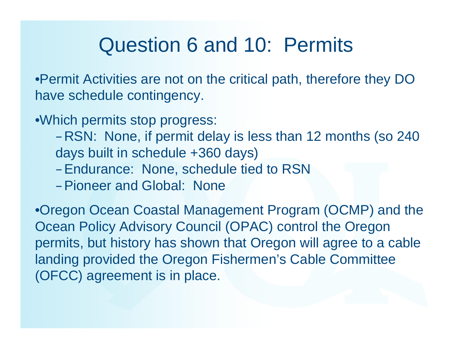## Question 6 and 10: Permits

•Permit Activities are not on the critical path, therefore they DO have schedule contingency.

•Which permits stop progress:

–RSN: None, if permit delay is less than 12 months (so 240 days built in schedule +360 days)

- –Endurance: None, schedule tied to RSN
- –Pioneer and Global: None

•Oregon Ocean Coastal Management Program (OCMP) and the Ocean Policy Advisory Council (OPAC) control the Oregon permits, but history has shown that Oregon will agree to a cable landing provided the Oregon Fishermen's Cable Committee (OFCC) agreement is in place.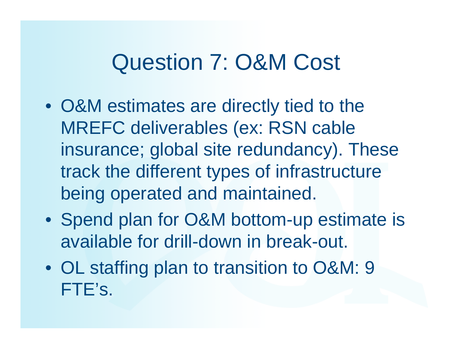## Question 7: O&M Cost

- O&M estimates are directly tied to the MREFC deliverables (ex: RSN cable insurance; global site redundancy). These track the different types of infrastructure being operated and maintained.
- Spend plan for O&M bottom-up estimate is available for drill-down in break-out.
- OL staffing plan to transition to O&M: 9 FTE's.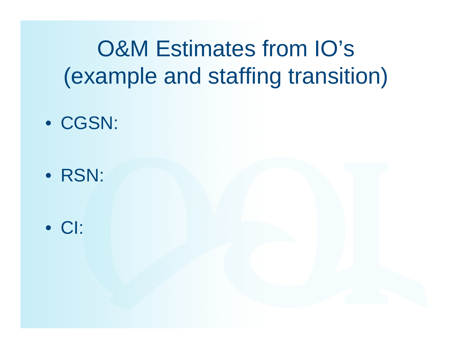# O&M Estimates from IO's (example and staffing transition)

- CGSN:
- RSN:
- CI: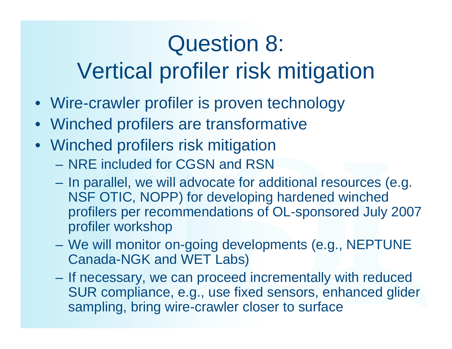# Question 8:

# Vertical profiler risk mitigation

- Wire-crawler profiler is proven technology
- Winched profilers are transformative
- Winched profilers risk mitigation
	- NRE included for CGSN and RSN
	- In parallel, we will advocate for additional resources (e.g. NSF OTIC, NOPP) for developing hardened winched profilers per recommendations of OL-sponsored July 2007 profiler workshop
	- $\mathcal{L}_{\mathcal{A}}$  We will monitor on-going developments (e.g., NEPTUNE Canada-NGK and WET Labs)
	- If necessary, we can proceed incrementally with reduced SUR compliance, e.g., use fixed sensors, enhanced glider sampling, bring wire-crawler closer to surface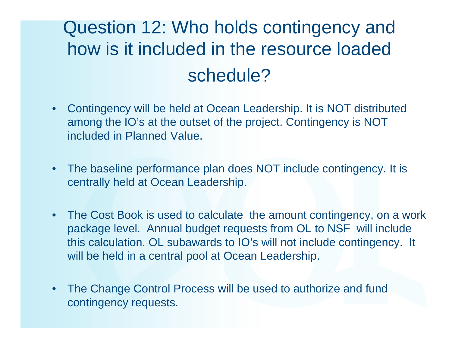## Question 12: Who holds contingency and how is it included in the resource loaded schedule?

- • Contingency will be held at Ocean Leadership. It is NOT distributed among the IO's at the outset of the project. Contingency is NOT included in Planned Value.
- • The baseline performance plan does NOT include contingency. It is centrally held at Ocean Leadership.
- • The Cost Book is used to calculate the amount contingency, on a work package level. Annual budget requests from OL to NSF will include this calculation. OL subawards to IO's will not include contingency. It will be held in a central pool at Ocean Leadership.
- $\bullet$  The Change Control Process will be used to authorize and fund contingency requests.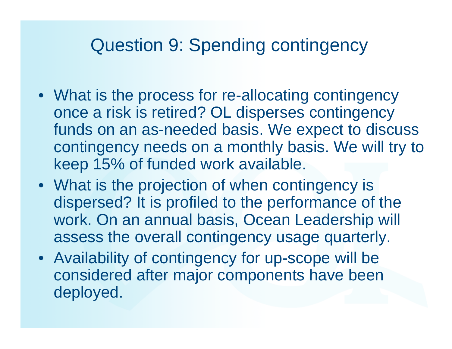### Question 9: Spending contingency

- What is the process for re-allocating contingency once a risk is retired? OL disperses contingency funds on an as-needed basis. We expect to discuss contingency needs on a monthly basis. We will try to keep 15% of funded work available.
- What is the projection of when contingency is dispersed? It is profiled to the performance of the work. On an annual basis, Ocean Leadership will assess the overall contingency usage quarterly.
- Availability of contingency for up-scope will be considered after major components have been deployed.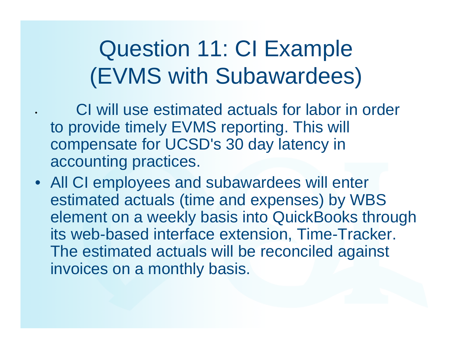# Question 11: CI Example (EVMS with Subawardees)

 CI will use estimated actuals for labor in order to provide timely EVMS reporting. This will compensate for UCSD's 30 day latency in accounting practices.

•

• All CI employees and subawardees will enter estimated actuals (time and expenses) by WBS element on a weekly basis into QuickBooks through its web-based interface extension, Time-Tracker. The estimated actuals will be reconciled against invoices on a monthly basis.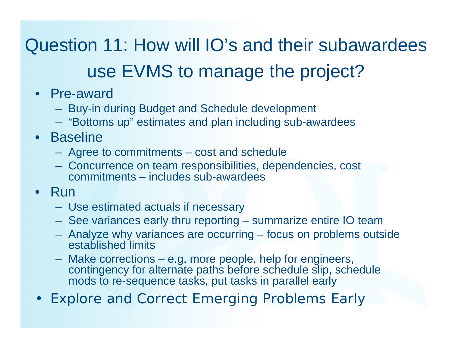## Question 11: How will IO's and their subawardees use EVMS to manage the project?

- Pre-award
	- Buy-in during Budget and Schedule development
	- "Bottoms up" estimates and plan including sub-awardees
- Baseline
	- Agree to commitments cost and schedule
	- Concurrence on team responsibilities, dependencies, cost commitments – includes sub-awardees
- Run
	- Use estimated actuals if necessary
	- See variances early thru reporting summarize entire IO team
	- Analyze why variances are occurring focus on problems outside established limits
	- Make corrections e.g. more people, help for engineers, contingency for alternate paths before schedule slip, schedule mods to re-sequence tasks, put tasks in parallel early
- •Explore and Correct Emerging Problems Early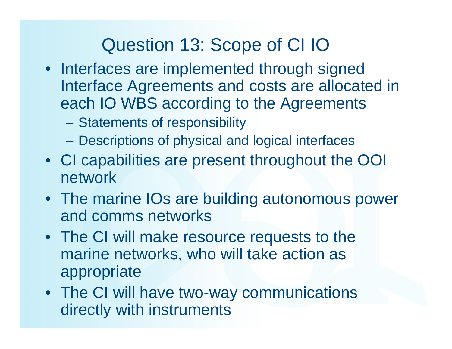## Question 13: Scope of CI IO

- Interfaces are implemented through signed Interface Agreements and costs are allocated in each IO WBS according to the Agreements
	- –Statements of responsibility
	- Descriptions of physical and logical interfaces
- CI capabilities are present throughout the OOI network
- The marine IOs are building autonomous power and comms networks
- The CI will make resource requests to the marine networks, who will take action as appropriate
- The CI will have two-way communications directly with instruments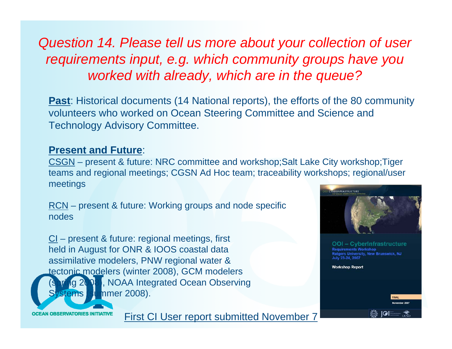### *Question 14. Please tell us more about your collection of user requirements input, e.g. which community groups have you worked with already, which are in the queue?*

**Past**: Historical documents (14 National reports), the efforts of the 80 community volunteers who worked on Ocean Steering Committee and Science and Technology Advisory Committee.

#### **Present and Future**:

CSGN – present & future: NRC committee and workshop;Salt Lake City workshop;Tiger teams and regional meetings; CGSN Ad Hoc team; traceability workshops; regional/user meetings

<u>RCN</u> – present & future: Working groups and node specific nodes

CI – present & future: regional meetings, first held in August for ONR & IOOS coastal data assimilative modelers, PNW regional water & tectonic modelers (winter 2008), GCM modelers 1g 2008), NOAA Integrated Ocean Observing  $\mathsf{stems}$  (summer 2008).



**OCEAN OBSERVATORIES INITIATIVE** 

First CI User report submitted November 7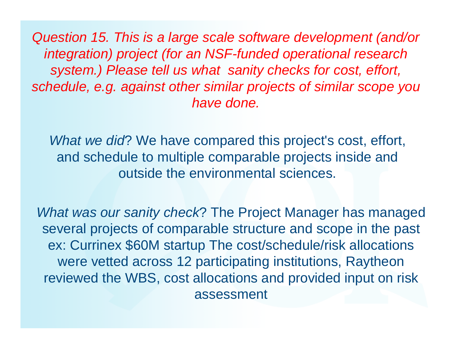*Question 15. This is a large scale software development (and/or integration) project (for an NSF-funded operational research system.) Please tell us what sanity checks for cost, effort, schedule, e.g. against other similar projects of similar scope you have done.* 

*What we did*? We have compared this project's cost, effort, and schedule to multiple comparable projects inside and outside the environmental sciences.

*What was our sanity check*? The Project Manager has managed several projects of comparable structure and scope in the past ex: Currinex \$60M startup The cost/schedule/risk allocations were vetted across 12 participating institutions, Raytheon reviewed the WBS, cost allocations and provided input on risk assessment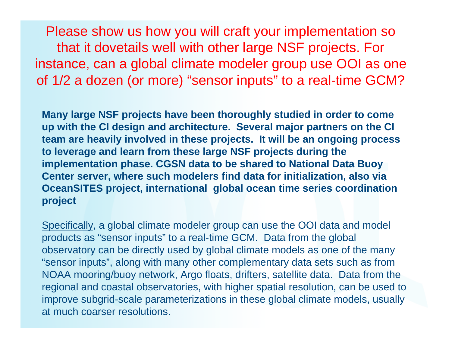Please show us how you will craft your implementation so that it dovetails well with other large NSF projects. For instance, can a global climate modeler group use OOI as one of 1/2 a dozen (or more) "sensor inputs" to a real-time GCM?

**Many large NSF projects have been thoroughly studied in order to come up with the CI design and architecture. Several major partners on the CI team are heavily involved in these projects. It will be an ongoing process to leverage and learn from these large NSF projects during the implementation phase. CGSN data to be shared to National Data Buoy Center server, where such modelers find data for initialization, also via OceanSITES project, international global ocean time series coordination project**

Specifically, a global climate modeler group can use the OOI data and model products as "sensor inputs" to a real-time GCM. Data from the global observatory can be directly used by global climate models as one of the many "sensor inputs", along with many other complementary data sets such as from NOAA mooring/buoy network, Argo floats, drifters, satellite data. Data from the regional and coastal observatories, with higher spatial resolution, can be used to improve subgrid-scale parameterizations in these global climate models, usually at much coarser resolutions.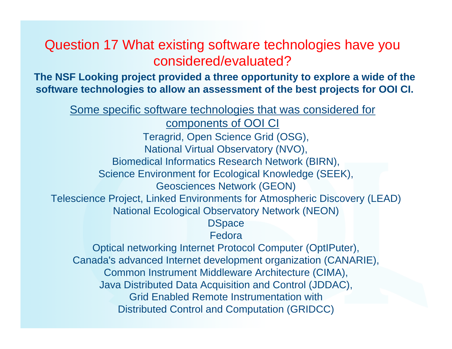#### Question 17 What existing software technologies have you considered/evaluated?

**The NSF Looking project provided a three opportunity to explore a wide of the software technologies to allow an assessment of the best projects for OOI CI.**

Some specific software technologies that was considered for components of OOI CI Teragrid, Open Science Grid (OSG), National Virtual Observatory (NVO), Biomedical Informatics Research Network (BIRN), Science Environment for Ecological Knowledge (SEEK), Geosciences Network (GEON) Telescience Project, Linked Environments for Atmospheric Discovery (LEAD) National Ecological Observatory Network (NEON) **DSpace** Fedora Optical networking Internet Protocol Computer (OptIPuter), Canada's advanced Internet development organization (CANARIE), Common Instrument Middleware Architecture (CIMA), Java Distributed Data Acquisition and Control (JDDAC), Grid Enabled Remote Instrumentation with Distributed Control and Computation (GRIDCC)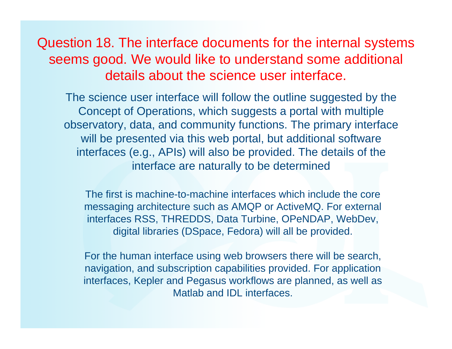Question 18. The interface documents for the internal systems seems good. We would like to understand some additional details about the science user interface.

The science user interface will follow the outline suggested by the Concept of Operations, which suggests a portal with multiple observatory, data, and community functions. The primary interface will be presented via this web portal, but additional software interfaces (e.g., APIs) will also be provided. The details of the interface are naturally to be determined

The first is machine-to-machine interfaces which include the core messaging architecture such as AMQP or ActiveMQ. For external interfaces RSS, THREDDS, Data Turbine, OPeNDAP, WebDev, digital libraries (DSpace, Fedora) will all be provided.

For the human interface using web browsers there will be search, navigation, and subscription capabilities provided. For application interfaces, Kepler and Pegasus workflows are planned, as well as Matlab and IDL interfaces.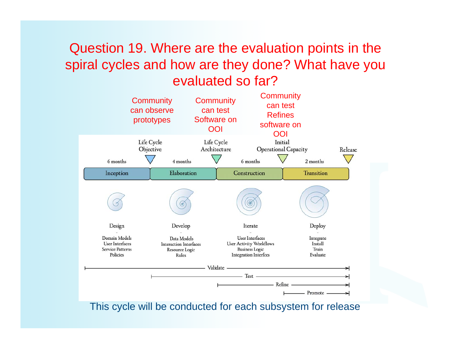### Question 19. Where are the evaluation points in the spiral cycles and how are they done? What have you evaluated so far?



This cycle will be conducted for each subsystem for release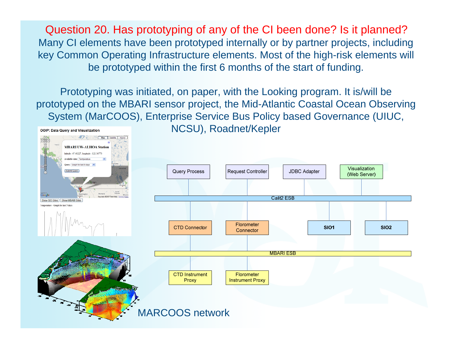Question 20. Has prototyping of any of the CI been done? Is it planned? Many CI elements have been prototyped internally or by partner projects, including key Common Operating Infrastructure elements. Most of the high-risk elements will be prototyped within the first 6 months of the start of funding.

Prototyping was initiated, on paper, with the Looking program. It is/will be prototyped on the MBARI sensor project, the Mid-Atlantic Coastal Ocean Observing System (MarCOOS), Enterprise Service Bus Policy based Governance (UIUC,



NCSU), Roadnet/Kepler

**OOIP: Data Query and Visualization**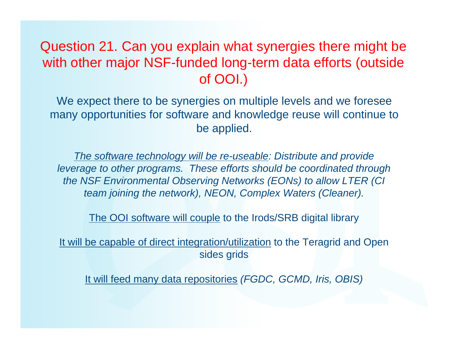### Question 21. Can you explain what synergies there might be with other major NSF-funded long-term data efforts (outside of OOI.)

We expect there to be synergies on multiple levels and we foresee many opportunities for software and knowledge reuse will continue to be applied.

*The software technology will be re-useable: Distribute and provide leverage to other programs. These efforts should be coordinated through the NSF Environmental Observing Networks (EONs) to allow LTER (CI team joining the network), NEON, Complex Waters (Cleaner).*

The OOI software will couple to the Irods/SRB digital library

It will be capable of direct integration/utilization to the Teragrid and Open sides grids

It will feed many data repositories *(FGDC, GCMD, Iris, OBIS)*